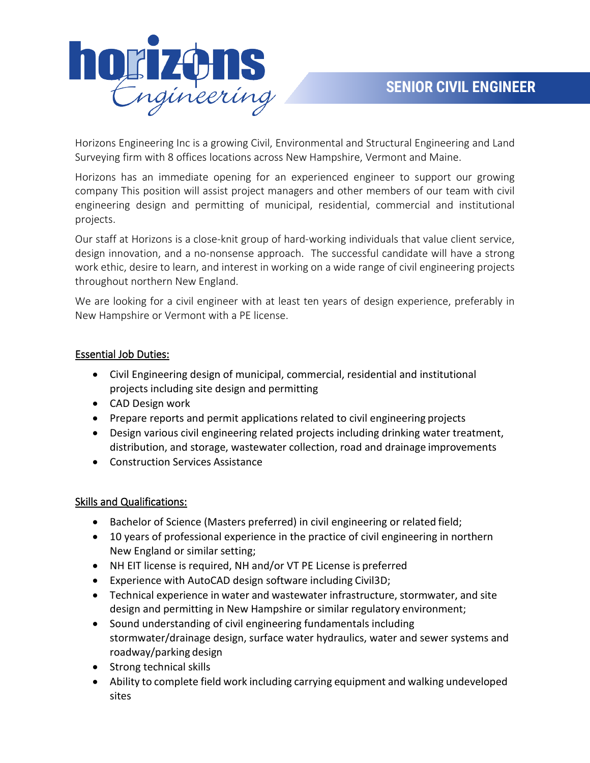

Horizons Engineering Inc is a growing Civil, Environmental and Structural Engineering and Land Surveying firm with 8 offices locations across New Hampshire, Vermont and Maine.

Horizons has an immediate opening for an experienced engineer to support our growing company This position will assist project managers and other members of our team with civil engineering design and permitting of municipal, residential, commercial and institutional projects.

Our staff at Horizons is a close‐knit group of hard‐working individuals that value client service, design innovation, and a no‐nonsense approach. The successful candidate will have a strong work ethic, desire to learn, and interest in working on a wide range of civil engineering projects throughout northern New England.

We are looking for a civil engineer with at least ten years of design experience, preferably in New Hampshire or Vermont with a PE license.

## Essential Job Duties:

- Civil Engineering design of municipal, commercial, residential and institutional projects including site design and permitting
- CAD Design work
- Prepare reports and permit applications related to civil engineering projects
- Design various civil engineering related projects including drinking water treatment, distribution, and storage, wastewater collection, road and drainage improvements
- Construction Services Assistance

## Skills and Qualifications:

- Bachelor of Science (Masters preferred) in civil engineering or related field;
- 10 years of professional experience in the practice of civil engineering in northern New England or similar setting;
- NH EIT license is required, NH and/or VT PE License is preferred
- Experience with AutoCAD design software including Civil3D;
- Technical experience in water and wastewater infrastructure, stormwater, and site design and permitting in New Hampshire or similar regulatory environment;
- Sound understanding of civil engineering fundamentals including stormwater/drainage design, surface water hydraulics, water and sewer systems and roadway/parking design
- Strong technical skills
- Ability to complete field work including carrying equipment and walking undeveloped sites